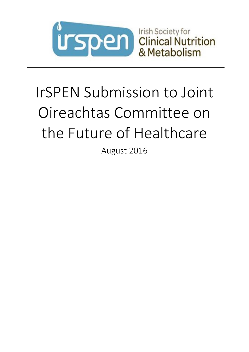

# IrSPEN Submission to Joint Oireachtas Committee on the Future of Healthcare

August 2016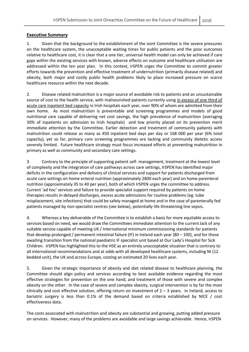# **Executive Summary**

1. Given that the background to the establishment of the Joint Committee is the severe pressures on the healthcare system, the unacceptable waiting times for public patients and the poor outcomes relative to healthcare cost, it is clear that a one tier, universal health model can only be achieved if care gaps within the existing services with known, adverse effects on outcome and healthcare utilisation are addressed within the ten year plan. In this context, IrSPEN urges the Committee to commit greater efforts towards the prevention and effective treatment of undernutrition (primarily disease related) and obesity, both major and costly public health problems likely to place increased pressure on scarce healthcare resource within the next decade.

2. Disease related malnutrition is a major source of avoidable risk to patients and an unsustainable source of cost to the health service, with malnourished patients currently using in excess of one third of acute care inpatient bed capacity in Irish hospitals each year, over 90% of whom are admitted from their own home. As most malnutrition is preventable and screening programmes and models of good nutritional care capable of delivering net cost savings, the high prevalence of malnutrition (averaging 30% of inpatients on admission to Irish hospitals) and low priority placed on its prevention merit immediate attention by the Committee. Earlier detection and treatment of community patients with malnutrition could release as many as 450 inpatient bed days per day or 168 000 per year (6% total capacity), yet so far, primary care screening programmes are lacking and community dietetic access severely limited. Future healthcare strategy must focus increased efforts at preventing malnutrition in primary as well as community and secondary care settings.

3. Contrary to the principle of supporting patient self- management, treatment at the lowest level of complexity and the integration of care pathways across care settings, IrSPEN has identified major deficits in the configuration and delivery of clinical services and support for patients discharged from acute care settings on home enteral nutrition (approximately 2800 each year) and on home parenteral nutrition (approximately 35 to 40 per year), both of which IrSPEN urges the committee to address. Current 'ad hoc' services and failure to provide specialist support required by patients on home therapies results in delayed discharges, excess acute admissions for routine problems (eg. tube misplacement, site infections) that could be safely managed at home and in the case of parenterally fed patients managed by non-specialist centres (see below), potentially life threatening line sepsis.

4. Whereas a key deliverable of the Committee is to establish a basis for more equitable access to services based on need, we would draw the Committees immediate attention to the current lack of any suitable service capable of meeting UK / International minimum commissioning standards for patients that develop prolonged / permanent intestinal failure (IF) in Ireland each year (80 – 100), and for those awaiting transition from the national paediatric IF specialist unit based at Our Lady's Hospital for Sick Children. IrSPEN has highlighted this to the HSE as an entirely unacceptable situation that is contrary to all international recommendations and at odds with all developed healthcare systems, including NI (12 bedded unit), the UK and across Europe, costing an estimated 20 lives each year.

5. Given the strategic importance of obesity and diet related disease to healthcare planning, the Committee should align policy and services according to best available evidence regarding the most effective strategies for prevention on the one hand, and treatment of those with severe and complex obesity on the other. In the case of severe and complex obesity, surgical intervention is by far the most clinically and cost effective solution, offering return on investment of  $2 - 3$  years. In Ireland, access to bariatric surgery is less than 0.1% of the demand based on criteria established by NICE / cost effectiveness data.

The costs associated with malnutrition and obesity are substantial and growing, putting added pressure on services. However, many of the problems are avoidable and large savings achievable. Hence, IrSPEN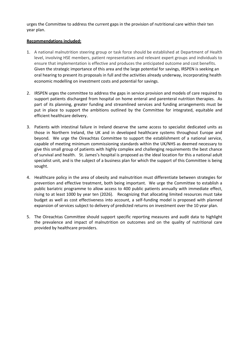urges the Committee to address the current gaps in the provision of nutritional care within their ten year plan.

# **Recommendations included:**

- 1. A national malnutrition steering group or task force should be established at Department of Health level, involving HSE members, patient representatives and relevant expert groups and individuals to ensure that implementation is effective and produces the anticipated outcome and cost benefits. Given the strategic importance of this area and the large potential for savings, IRSPEN is seeking an oral hearing to present its proposals in full and the activities already underway, incorporating health economic modelling on investment costs and potential for savings.
- 2. IRSPEN urges the committee to address the gaps in service provision and models of care required to support patients discharged from hospital on home enteral and parenteral nutrition therapies. As part of its planning, greater funding and streamlined services and funding arrangements must be put in place to support the ambitions outlined by the Committee for integrated, equitable and efficient healthcare delivery.
- 3. Patients with intestinal failure in Ireland deserve the same access to specialist dedicated units as those in Northern Ireland, the UK and in developed healthcare systems throughout Europe and beyond. We urge the Oireachtas Committee to support the establishment of a national service, capable of meeting minimum commissioning standards within the UK/NHS as deemed necessary to give this small group of patients with highly complex and challenging requirements the best chance of survival and health. St. James's hospital is proposed as the ideal location for this a national adult specialist unit, and is the subject of a business plan for which the support of this Committee is being sought.
- 4. Healthcare policy in the area of obesity and malnutrition must differentiate between strategies for prevention and effective treatment, both being important. We urge the Committee to establish a public bariatric programme to allow access to 400 public patients annually with immediate effect, rising to at least 1000 by year ten (2026). Recognizing that allocating limited resources must take budget as well as cost effectiveness into account, a self-funding model is proposed with planned expansion of services subject to delivery of predicted returns on investment over the 10 year plan.
- 5. The Oireachtas Committee should support specific reporting measures and audit data to highlight the prevalence and impact of malnutrition on outcomes and on the quality of nutritional care provided by healthcare providers.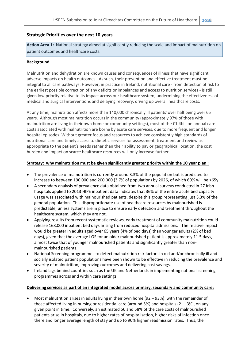# **Strategic Priorities over the next 10 years**

**Action Area 1:** National strategy aimed at significantly reducing the scale and impact of malnutrition on patient outcomes and healthcare costs.

# **Background**

Malnutrition and dehydration are known causes and consequences of illness that have significant adverse impacts on health outcomes. As such, their prevention and effective treatment must be integral to all care pathways. However, in practice in Ireland, nutritional care - from detection of risk to the earliest possible correction of any deficits or imbalances and access to nutrition services - is still given low priority relative to its impact across our healthcare system, undermining the effectiveness of medical and surgical interventions and delaying recovery, driving up overall healthcare costs.

At any time, malnutrition affects more than 140,000 chronically ill patients' over half being over 65 years. Although most malnutrition occurs in the community (approximately 97% of those with malnutrition are living in their own home or community settings), most of the €1.4billion annual care costs associated with malnutrition are borne by acute care services, due to more frequent and longer hospital episodes. Without greater focus and resources to achieve consistently high standards of nutritional care and timely access to dietetic services for assessment, treatment and review as appropriate to the patient's needs rather than their ability to pay or geographical location, the cost burden and impact on scarce healthcare resources will only increase further.

# **Strategy: why malnutrition must be given significantly greater priority within the 10 year plan :**

- The prevalence of malnutrition is currently around 3.3% of the population but is predicted to increase to between 190 000 and 200,000 (3.7% of population) by 2026, of which 60% will be >65y.
- A secondary analysis of prevalence data obtained from two annual surveys conducted in 27 Irish hospitals applied to 2013 HIPE inpatient data indicates that 36% of the entire acute bed capacity usage was associated with malnourished patients, despite this group representing just 3.3% of the general population. This disproportionate use of healthcare resources by malnourished is predictable, unless systems are in place to ensure early detection and treatment throughout the healthcare system, which they are not.
- Applying results from recent systematic reviews, early treatment of community malnutrition could release 168,000 inpatient bed days arising from reduced hospital admissions. The relative impact would be greater in adults aged over 65 years (4% of bed days) than younger adults (2% of bed days), given that the average LOS for an older malnourished patient is approximately 11.5 days, almost twice that of younger malnourished patients and significantly greater than nonmalnourished patients.
- National Screening programmes to detect malnutrition risk factors in old and/or chronically ill and socially isolated patient populations have been shown to be effective in reducing the prevalence and severity of malnutrition, improving outcomes and delivering cost savings.
- Ireland lags behind countries such as the UK and Netherlands in implementing national screening programmes across and within care settings.

## **Delivering services as part of an integrated model across primary, secondary and community care:**

 Most malnutrition arises in adults living in their own home (92 – 93%), with the remainder of those affected living in nursing or residential care (around 5%) and hospitals (2 - 3%), on any given point in time. Conversely, an estimated 56 and 58% of the care costs of malnourished patients arise in hospitals, due to higher rates of hospitalisation, higher risks of infection once there and longer average length of stay and up to 90% higher readmission rates. Thus, the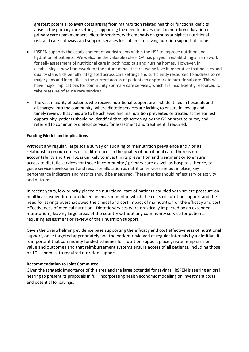greatest potential to avert costs arising from malnutrition related health or functional deficits arise in the primary care settings, supporting the need for investment in nutrition education of primary care team members, dietetic services, with emphasis on groups at highest nutritional risk, and care pathways and support services for patients receiving nutrition support at home**.**

- IRSPEN supports the establishment of workstreams within the HSE to improve nutrition and hydration of patients. We welcome the valuable role HIQA has played in establishing a framework for self- assessment of nutritional care in both hospitals and nursing homes. However, in establishing a new framework for the future of healthcare, we believe it imperative that policies and quality standards be fully integrated across care settings and sufficiently resourced to address some major gaps and inequities in the current access of patients to appropriate nutritional care. This will have major implications for community /primary care services, which are insufficiently resourced to take pressure of acute care services.
- The vast majority of patients who receive nutritional support are first identified in hospitals and discharged into the community, where dietetic services are lacking to ensure follow up and timely review. If savings are to be achieved and malnutrition prevented or treated at the earliest opportunity, patients should be identified through screening by the GP or practice nurse, and referred to community dietetic services for assessment and treatment if required.

# **Funding Model and implications**

Without any regular, large scale survey or auditing of malnutrition prevalence and / or its relationship on outcomes or to differences in the quality of nutritional care, there is no accountability and the HSE is unlikely to invest in its prevention and treatment or to ensure access to dietetic services for those in community / primary care as well as hospitals. Hence, to guide service development and resource allocation as nutrition services are put in place, key performance indicators and metrics should be measured. These metrics should reflect service activity and outcomes.

In recent years, low priority placed on nutritional care of patients coupled with severe pressure on healthcare expenditure produced an environment in which the costs of nutrition support and the need for savings overshadowed the clinical and cost impact of malnutrition or the efficacy and cost effectiveness of medical nutrition. Dietetic services were drastically impacted by an extended moratorium, leaving large areas of the country without any community service for patients requiring assessment or review of their nutrition support.

Given the overwhelming evidence base supporting the efficacy and cost effectiveness of nutritional support, once targeted appropriately and the patient reviewed at regular intervals by a dietitian, it is important that community funded schemes for nutrition support place greater emphasis on value and outcomes and that reimbursement systems ensure access of all patients, including those on LTI schemes, to required nutrition support.

## **Recommendation to Joint Committee**

Given the strategic importance of this area and the large potential for savings, IRSPEN is seeking an oral hearing to present its proposals in full, incorporating health economic modelling on investment costs and potential for savings.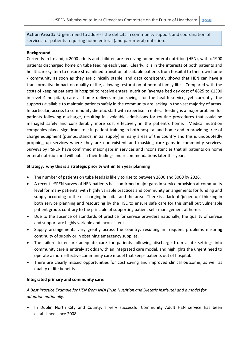**Action Area 2:** Urgent need to address the deficits in community support and coordination of services for patients requiring home enteral (and parenteral) nutrition.

#### **Background**

Currently in Ireland, c.2000 adults and children are receiving home enteral nutrition (HEN), with c.1900 patients discharged home on tube feeding each year. Clearly, it is in the interests of both patients and healthcare system to ensure streamlined transition of suitable patients from hospital to their own home / community as soon as they are clinically stable, and data consistently shows that HEN can have a transformative impact on quality of life, allowing restoration of normal family life. Compared with the costs of keeping patients in hospital to receive enteral nutrition (average bed day cost of €825 to €1300 in level 4 hospital), care at home delivers major savings for the health service, yet currently, the supports available to maintain patients safely in the community are lacking in the vast majority of areas. In particular, access to community dietetic staff with expertise in enteral feeding is a major problem for patients following discharge, resulting in avoidable admissions for routine procedures that could be managed safely and considerably more cost effectively in the patient's home. Medical nutrition companies play a significant role in patient training in both hospital and home and in providing free of charge equipment (pumps, stands, initial supply) in many areas of the country and this is undoubtedly propping up services where they are non-existent and masking care gaps in community services. Surveys by IrSPEN have confirmed major gaps in services and inconsistencies that all patients on home enteral nutrition and will publish their findings and recommendations later this year.

## **Strategy: why this is a strategic priority within ten year planning**

- The number of patients on tube feeds is likely to rise to between 2600 and 3000 by 2026.
- A recent IrSPEN survey of HEN patients has confirmed major gaps in service provision at community level for many patients, with highly variable practices and community arrangements for funding and supply according to the discharging hospital and the area. There is a lack of 'joined up' thinking in both service planning and resourcing by the HSE to ensure safe care for this small but vulnerable patient group, contrary to the principle of supporting patient self- management at home.
- Due to the absence of standards of practice for service providers nationally, the quality of service and support are highly variable and inconsistent.
- Supply arrangements vary greatly across the country, resulting in frequent problems ensuring continuity of supply or in obtaining emergency supplies.
- The failure to ensure adequate care for patients following discharge from acute settings into community care is entirely at odds with an integrated care model, and highlights the urgent need to operate a more effective community care model that keeps patients out of hospital.
- There are clearly missed opportunities for cost saving and improved clinical outcome, as well as quality of life benefits.

## **Integrated primary and community care:**

# *A Best Practice Example for HEN from INDI (Irish Nutrition and Dietetic Institute) and a model for adoption nationally:*

• In Dublin North City and County, a very successful Community Adult HEN service has been established since 2008.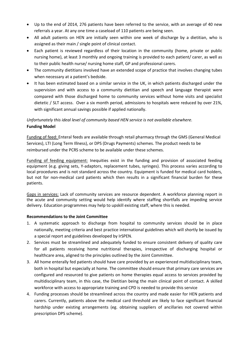- Up to the end of 2014, 276 patients have been referred to the service, with an average of 40 new referrals a year. At any one time a caseload of 110 patients are being seen.
- All adult patients on HEN are initially seen within one week of discharge by a dietitian, who is assigned as their main / single point of clinical contact.
- Each patient is reviewed regardless of their location in the community (home, private or public nursing home), at least 3 monthly and ongoing training is provided to each patient/ carer, as well as to their public health nurse/ nursing home staff, GP and professional carers.
- The community dietitians involved have an extended scope of practice that involves changing tubes when necessary at a patient's bedside.
- It has been estimated based on a similar service in the UK, in which patients discharged under the supervision and with access to a community dietitian and speech and language therapist were compared with those discharged home to community services without home visits and specialist dietetic / SLT access. Over a six month period, admissions to hospitals were reduced by over 21%, with significant annual savings possible if applied nationally.

# *Unfortunately this ideal level of community based HEN service is not available elsewhere.* **Funding Model**

Funding of feed: Enteral feeds are available through retail pharmacy through the GMS (General Medical Services), LTI (Long Term Illness), or DPS (Drugs Payments) schemes. The product needs to be reimbursed under the PCRS scheme to be available under these schemes.

Funding of feeding equipment: Inequities exist in the funding and provision of associated feeding equipment (e.g. giving sets, Y-adaptors, replacement tubes, syringes). This process varies according to local procedures and is not standard across the country. Equipment is funded for medical card holders, but not for non-medical card patients which then results in a significant financial burden for these patients.

Gaps in services: Lack of community services are resource dependent. A workforce planning report in the acute and community setting would help identify where staffing shortfalls are impeding service delivery. Education programmes may help to upskill existing staff, where this is needed.

# **Recommendations to the Joint Committee**

- 1. A systematic approach to discharge from hospital to community services should be in place nationally, meeting criteria and best practice international guidelines which will shortly be issued by a special report and guidelines developed by IrSPEN.
- 2. Services must be streamlined and adequately funded to ensure consistent delivery of quality care for all patients receiving home nutritional therapies, irrespective of discharging hospital or healthcare area, aligned to the principles outlined by the Joint Committee.
- 3. All home enterally fed patients should have care provided by an experienced multidisciplinary team, both in hospital but especially at home. The committee should ensure that primary care services are configured and resourced to give patients on home therapies equal access to services provided by multidisciplinary team, in this case, the Dietitian being the main clinical point of contact. A skilled workforce with access to appropriate training and CPD is needed to provide this service
- 4. Funding processes should be streamlined across the country and made easier for HEN patients and carers. Currently, patients above the medical card threshold are likely to face significant financial hardship under existing arrangements (eg. obtaining suppliers of ancillaries not covered within prescription DPS scheme).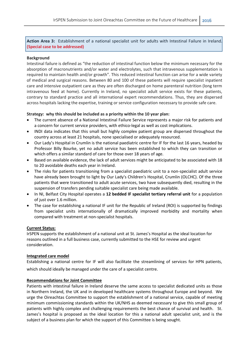**Action Area 3:** Establishment of a national specialist unit for adults with Intestinal Failure in Ireland. **(Special case to be addressed)**

#### **Background**

Intestinal failure is defined as "the reduction of intestinal function below the minimum necessary for the absorption of macronutrients and/or water and electrolytes, such that intravenous supplementation is required to maintain health and/or growth". This reduced intestinal function can arise for a wide variety of medical and surgical reasons. Between 80 and 100 of these patients will require specialist inpatient care and intensive outpatient care as they are often discharged on home parenteral nutrition (long term intravenous feed at home). Currently in Ireland, no specialist adult service exists for these patients, contrary to standard practice and all international expert recommendations. Thus, they are dispersed across hospitals lacking the expertise, training or service configuration necessary to provide safe care.

#### **Strategy: why this should be included as a priority within the 10 year plan:**

- The current absence of a National Intestinal Failure Service represents a major risk for patients and a concern for current service providers, with ethico-legal as well as cost implications.
- INDI data indicates that this small but highly complex patient group are dispersed throughout the country across at least 21 hospitals, none specialised or adequately resourced.
- Our Lady's Hospital in Crumlin is the national paediatric centre for IF for the last 16 years, headed by Professor Billy Bourke, yet no adult service has been established to which they can transition or which offers a similar standard of care for those over 18 years of age.
- Based on available evidence, the lack of adult services might be anticipated to be associated with 18 to 20 avoidable deaths each year in Ireland.
- The risks for patients transitioning from a specialist paediatric unit to a non-specialist adult service have already been brought to light by Our Lady's Children's Hospital, Crumlin (OLCHC). Of the three patients that were transitioned to adult acute services, two have subsequently died, resulting in the suspension of transfers pending suitable specialist care being made available.
- In NI, Belfast City Hospital operates a **12 bedded IF specialist tertiary referral unit** for a population of just over 1.6 million.
- The case for establishing a national IF unit for the Republic of Ireland (ROI) is supported by findings from specialist units internationally of dramatically improved morbidity and mortality when compared with treatment at non-specialist hospitals.

#### **Current Status:**

IrSPEN supports the establishment of a national unit at St. James's Hospital as the ideal location for reasons outlined in a full business case, currently submitted to the HSE for review and urgent consideration.

#### **Integrated care model**

Establishing a national centre for IF will also facilitate the streamlining of services for HPN patients, which should ideally be managed under the care of a specialist centre.

#### **Recommendations for Joint Committee**

Patients with intestinal failure in Ireland deserve the same access to specialist dedicated units as those in Northern Ireland, the UK and in developed healthcare systems throughout Europe and beyond. We urge the Oireachtas Committee to support the establishment of a national service, capable of meeting minimum commissioning standards within the UK/NHS as deemed necessary to give this small group of patients with highly complex and challenging requirements the best chance of survival and health. St. James's hospital is proposed as the ideal location for this a national adult specialist unit, and is the subject of a business plan for which the support of this Committee is being sought.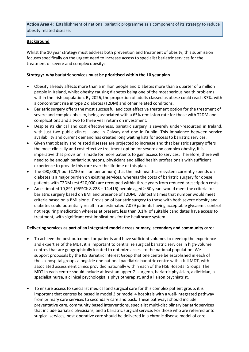**Action Area 4:** Establishment of national bariatric programme as a component of its strategy to reduce obesity related disease.

# **Background**

Whilst the 10 year strategy must address both prevention and treatment of obesity, this submission focuses specifically on the urgent need to increase access to specialist bariatric services for the treatment of severe and complex obesity:

# **Strategy: why bariatric services must be prioritised within the 10 year plan**

- Obesity already affects more than a million people and Diabetes more than a quarter of a million people in Ireland, whilst obesity causing diabetes being one of the most serious health problems within the Irish population. By 2026, the proportion of adults classed as obese could reach 37%, with a concomitant rise in type 2 diabetes (T2DM) and other related conditions.
- Bariatric surgery offers the most successful and cost effective treatment option for the treatment of severe and complex obesity, being associated with a 65% remission rate for those with T2DM and complications and a two to three year return on investment.
- Despite its clinical and cost effectiveness, bariatric surgery is severely under-resourced in Ireland, with just two public clinics – one in Galway and one in Dublin. This imbalance between service availability and current demand has created long waiting lists for access to bariatric services.
- Given that obesity and related diseases are projected to increase and that bariatric surgery offers the most clinically and cost effective treatment option for severe and complex obesity, it is imperative that provision is made for more patients to gain access to services. Therefore, there will need to be enough bariatric surgeons, physicians and allied health professionals with sufficient experience to provide this care over the lifetime of this plan.
- The €90,000/hour (€730 million per annum) that the Irish healthcare system currently spends on diabetes is a major burden on existing services, whereas the costs of bariatric surgery for obese patients with T2DM (est €10,000) are recouped within three years from reduced prescription costs.
- An estimated 10,891 (95%CI: 8,228 14,416) people aged ≥ 50 years would meet the criteria for bariatric surgery based on BMI and presence of T2DM. Almost 8 times that number would meet criteria based on a BMI alone. Provision of bariatric surgery to those with both severe obesity and diabetes could potentially result in an estimated 7,079 patients having acceptable glycaemic control not requiring medication whereas at present, less than 0.1% of suitable candidates have access to treatment, with significant cost implications for the healthcare system.

## **Delivering services as part of an integrated model across primary, secondary and community care:**

- To achieve the best outcomes for patients and have sufficient volumes to develop the experience and expertise of the MDT, it is important to centralize surgical bariatric services in high-volume centres that are geographically located to optimize access to the national population. We support proposals by the IES Bariatric Interest Group that one centre be established in each of the six hospital groups alongside one national paediatric bariatric centre with a full MDT, with associated assessment clinics provided nationally within each of the HSE Hospital Groups. The MDT in each centre should include at least an upper GI surgeon, bariatric physician, a dietician, a specialist nurse, a clinical psychologist, a physiotherapist, and a liaison psychiatrist.
- To ensure access to specialist medical and surgical care for this complex patient group, it is important that centres be based in model 3 or model 4 hospitals with a well-integrated pathway from primary care services to secondary care and back. These pathways should include preventative care, community based interventions, specialist multi-disciplinary bariatric services that include bariatric physicians, and a bariatric surgical service. For those who are referred onto surgical services, post-operative care should be delivered in a chronic disease model of care.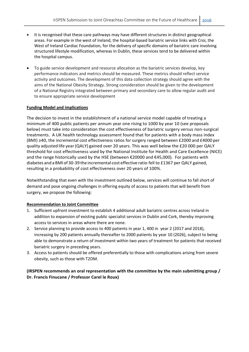- It is recognised that these care pathways may have different structures in distinct geographical areas. For example in the west of Ireland, the hospital-based bariatric service links with Croi, the West of Ireland Cardiac Foundation, for the delivery of specific domains of bariatric care involving structured lifestyle modification, whereas in Dublin, these services tend to be delivered within the hospital campus.
- To guide service development and resource allocation as the bariatric services develop, key performance indicators and metrics should be measured. These metrics should reflect service activity and outcomes. The development of this data collection strategy should agree with the aims of the National Obesity Strategy. Strong consideration should be given to the development of a National Registry integrated between primary and secondary care to allow regular audit and to ensure appropriate service development

#### **Funding Model and implications**

The decision to invest in the establishment of a national service model capable of treating a minimum of 400 public patients per annum year one rising to 1000 by year 10 (see proposals below) must take into consideration the cost effectiveness of bariatric surgery versus non-surgical treatments. A UK health technology assessment found that for patients with a body mass index (BMI) ≥40, the incremental cost effectiveness ratios for surgery ranged between £2000 and £4000 per quality adjusted life year(QALY) gained over 20 years. This was well below the £20 000 per QALY threshold for cost effectiveness used by the National Institute for Health and Care Excellence (NICE) and the range historically used by the HSE (between €20000 and €45,000). For patients with diabetes and a BMI of 30-39 the incremental cost effective ratio fell to £1367 per QALY gained, resulting in a probability of cost effectiveness over 20 years of 100%.

Notwithstanding that even with the investment outlined below, services will continue to fall short of demand and pose ongoing challenges in offering equity of access to patients that will benefit from surgery, we propose the following:

#### **Recommendation to Joint Committee**

- 1. Sufficient upfront investment to establish 4 additional adult bariatric centres across Ireland in addition to expansion of existing public specialist services in Dublin and Cork, thereby improving access to services in areas where there are none.
- 2. Service planning to provide access to 400 patients in year 1, 400 in year 2 (2017 and 2018), increasing by 200 patients annually thereafter to 2000 patients by year 10 (2026), subject to being able to demonstrate a return of investment within two years of treatment for patients that received bariatric surgery in preceding years.
- 3. Access to patients should be offered preferentially to those with complications arising from severe obesity, such as those with T2DM.

# **(IRSPEN recommends an oral representation with the committee by the main submitting group / Dr. Francis Finucane / Professor Carel le Roux)**